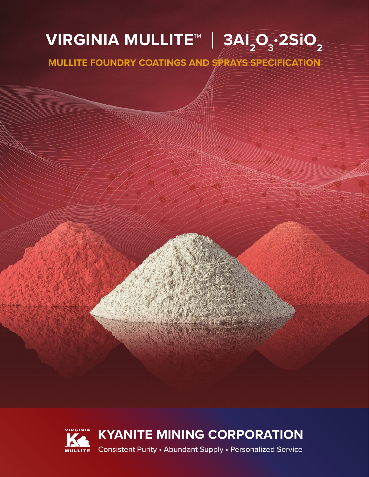# **∨IRGINIA MULLITE™ │ 3AI** $_{2}$ **O** $_{3}$ **·2SiO** $_{2}$

**MULLITE FOUNDRY COATINGS AND SPRAYS SPECIFICATION**